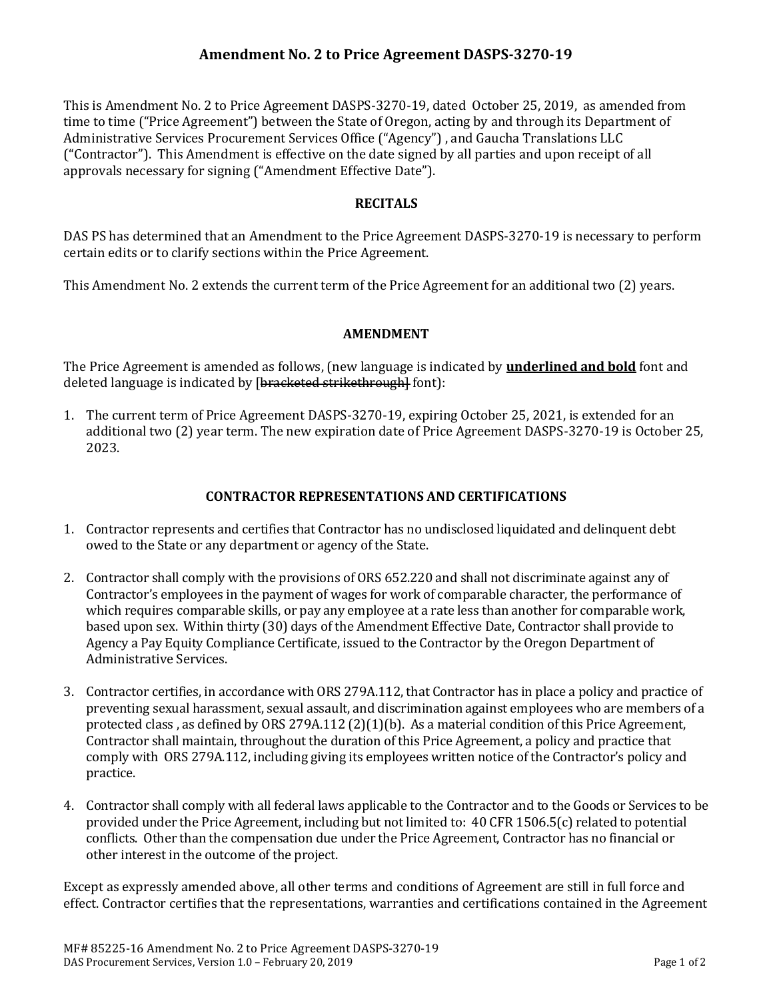This is Amendment No. 2 to Price Agreement DASPS-3270-19, dated October 25, 2019, as amended from time to time ("Price Agreement") between the State of Oregon, acting by and through its Department of Administrative Services Procurement Services Office ("Agency") , and Gaucha Translations LLC ("Contractor"). This Amendment is effective on the date signed by all parties and upon receipt of all approvals necessary for signing ("Amendment Effective Date").

# RECITALS

DAS PS has determined that an Amendment to the Price Agreement DASPS-3270-19 is necessary to perform certain edits or to clarify sections within the Price Agreement.

This Amendment No. 2 extends the current term of the Price Agreement for an additional two (2) years.

## AMENDMENT

The Price Agreement is amended as follows, (new language is indicated by **underlined and bold** font and deleted language is indicated by [bracketed strikethrough] font]:

1. The current term of Price Agreement DASPS-3270-19, expiring October 25, 2021, is extended for an additional two (2) year term. The new expiration date of Price Agreement DASPS-3270-19 is October 25, 2023.

## CONTRACTOR REPRESENTATIONS AND CERTIFICATIONS

- 1. Contractor represents and certifies that Contractor has no undisclosed liquidated and delinquent debt owed to the State or any department or agency of the State.
- 2. Contractor shall comply with the provisions of ORS 652.220 and shall not discriminate against any of Contractor's employees in the payment of wages for work of comparable character, the performance of which requires comparable skills, or pay any employee at a rate less than another for comparable work, based upon sex. Within thirty (30) days of the Amendment Effective Date, Contractor shall provide to Agency a Pay Equity Compliance Certificate, issued to the Contractor by the Oregon Department of Administrative Services.
- 3. Contractor certifies, in accordance with ORS 279A.112, that Contractor has in place a policy and practice of preventing sexual harassment, sexual assault, and discrimination against employees who are members of a protected class , as defined by ORS 279A.112 (2)(1)(b). As a material condition of this Price Agreement, Contractor shall maintain, throughout the duration of this Price Agreement, a policy and practice that comply with ORS 279A.112, including giving its employees written notice of the Contractor's policy and practice.
- 4. Contractor shall comply with all federal laws applicable to the Contractor and to the Goods or Services to be provided under the Price Agreement, including but not limited to: 40 CFR 1506.5(c) related to potential conflicts. Other than the compensation due under the Price Agreement, Contractor has no financial or other interest in the outcome of the project.

Except as expressly amended above, all other terms and conditions of Agreement are still in full force and effect. Contractor certifies that the representations, warranties and certifications contained in the Agreement